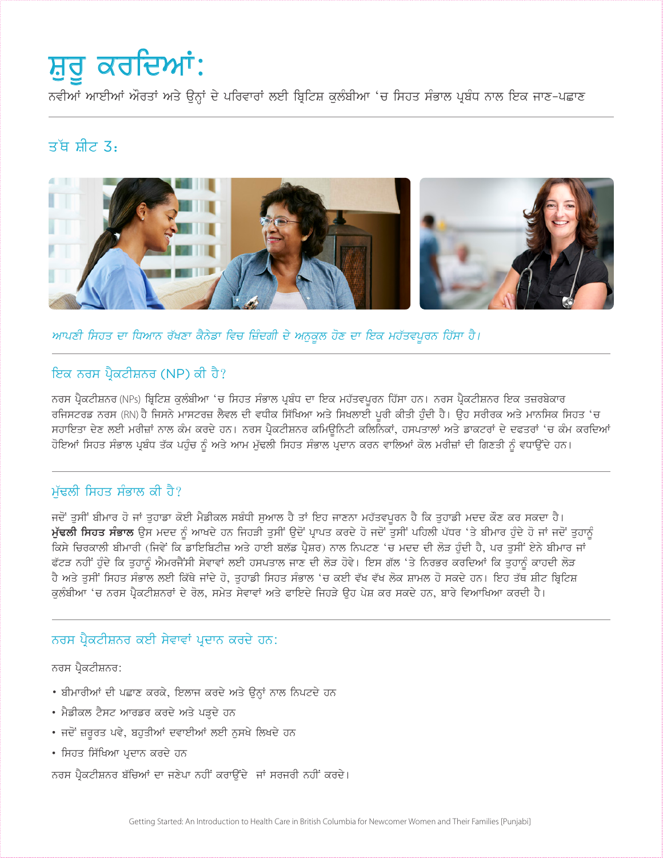# ਸ਼ੁਰੂ ਕਰਦਿਆਂ:

ਨਵੀਆਂ ਆਈਆਂ ਔਰਤਾਂ ਅਤੇ ਉਨ੍ਹਾਂ ਦੇ ਪਰਿਵਾਰਾਂ ਲਈ ਬ੍ਰਿਟਿਸ਼ ਕਲੰਬੀਆ 'ਚ ਸਿਹਤ ਸੰਭਾਲ ਪ੍ਰਬੰਧ ਨਾਲ ਇਕ ਜਾਣ-ਪਛਾਣ

## ਤੱਥ ਸੀਟ 3.



ਆਪਣੀ ਸਿਹਤ ਦਾ ਧਿਆਨ ਰੱਖਣਾ ਕੈਨੇਡਾ ਵਿਚ ਜ਼ਿੰਦਗੀ ਦੇ ਅਨੁਕੁਲ ਹੋਣ ਦਾ ਇਕ ਮਹੱਤਵਪੂਰਨ ਹਿੱਸਾ ਹੈ।

## ਇਕ ਨਰਸ ਪੈਕਟੀਸ਼ਨਰ (NP) ਕੀ ਹੈ?

ਨਰਸ ਪ੍ਰੈਕਟੀਸ਼ਨਰ (NPs) ਬ੍ਰਿਟਿਸ਼ ਕੁਲੰਬੀਆ 'ਚ ਸਿਹਤ ਸੰਭਾਲ ਪ੍ਰਬੰਧ ਦਾ ਇਕ ਮਹੱਤਵਪੂਰਨ ਹਿੱਸਾ ਹਨ। ਨਰਸ ਪ੍ਰੈਕਟੀਸ਼ਨਰ ਇਕ ਤਜ਼ਰਬੇਕਾਰ ਰਜਿਸਟਰਡ ਨਰਸ (RN) ਹੈ ਜਿਸਨੇ ਮਾਸਟਰਜ਼ ਲੈਵਲ ਦੀ ਵਧੀਕ ਸਿੱਖਿਆ ਅਤੇ ਸਿਖਲਾਈ ਪੂਰੀ ਕੀਤੀ ਹੁੰਦੀ ਹੈ। ਉਹ ਸਰੀਰਕ ਅਤੇ ਮਾਨਸਿਕ ਸਿਹਤ 'ਚ ਸਹਾਇਤਾ ਦੇਣ ਲਈ ਮਰੀਜ਼ਾਂ ਨਾਲ ਕੰਮ ਕਰਦੇ ਹਨ। ਨਰਸ ਪ੍ਰੈਕਟੀਸ਼ਨਰ ਕਮਿਊਨਿਟੀ ਕਲਿਨਿਕਾਂ, ਹਸਪਤਾਲਾਂ ਅਤੇ ਡਾਕਟਰਾਂ ਦੇ ਦਫਤਰਾਂ 'ਚ ਕੰਮ ਕਰਦਿਆਂ ਹੋਇਆਂ ਸਿਹਤ ਸੰਭਾਲ ਪ੍ਰਬੰਧ ਤੱਕ ਪਹੰਚ ਨੂੰ ਅਤੇ ਆਮ ਮੱਢਲੀ ਸਿਹਤ ਸੰਭਾਲ ਪ੍ਰਦਾਨ ਕਰਨ ਵਾਲਿਆਂ ਕੋਲ ਮਰੀਜ਼ਾਂ ਦੀ ਗਿਣਤੀ ਨੂੰ ਵਧਾਉਂਦੇ ਹਨ।

## ਮੱਢਲੀ ਸਿਹਤ ਸੰਭਾਲ ਕੀ ਹੈ?

ਜਦੋਂ ਤੁਸੀਂ ਬੀਮਾਰ ਹੋ ਜਾਂ ਤੁਹਾਡਾ ਕੋਈ ਮੈਡੀਕਲ ਸਬੰਧੀ ਸੁਆਲ ਹੈ ਤਾਂ ਇਹ ਜਾਣਨਾ ਮਹੱਤਵਪੂਰਨ ਹੈ ਕਿ ਤੁਹਾਡੀ ਮਦਦ ਕੌਣ ਕਰ ਸਕਦਾ ਹੈ। ਮੁੱਢਲੀ ਸਿਹਤ ਸੰਭਾਲ ਉਸ ਮਦਦ ਨੂੰ ਆਖਦੇ ਹਨ ਜਿਹੜੀ ਤੁਸੀਂ ਉਦੋਂ ਪ੍ਰਾਪਤ ਕਰਦੇ ਹੋ ਜਦੋਂ ਤੁਸੀਂ ਪਹਿਲੀ ਪੱਧਰ 'ਤੇ ਬੀਮਾਰ ਹੁੰਦੇ ਹੋ ਜਾਂ ਜਦੋਂ ਤੁਹਾਨੂੰ ਕਿਸੇ ਚਿਰਕਾਲੀ ਬੀਮਾਰੀ (ਜਿਵੇਂ ਕਿ ਡਾਇਬਿਟੀਜ਼ ਅਤੇ ਹਾਈ ਬਲੱਡ ਪ੍ਰੈਸ਼ਰ) ਨਾਲ ਨਿਪਟਣ 'ਚ ਮਦਦ ਦੀ ਲੋੜ ਹੁੰਦੀ ਹੈ, ਪਰ ਤੁਸੀਂ ਏਨੇ ਬੀਮਾਰ ਜਾਂ ਫੱਟੜ ਨਹੀਂ ਹੰਦੇ ਕਿ ਤਹਾਨੂੰ ਐਮਰਜੈਂਸੀ ਸੇਵਾਵਾਂ ਲਈ ਹਸਪਤਾਲ ਜਾਣ ਦੀ ਲੋੜ ਹੋਵੇ। ਇਸ ਗੱਲ 'ਤੇ ਨਿਰਭਰ ਕਰਦਿਆਂ ਕਿ ਤਹਾਨੂੰ ਕਾਹਦੀ ਲੋੜ ਹੈ ਅਤੇ ਤੁਸੀਂ ਸਿਹਤ ਸੰਭਾਲ ਲਈ ਕਿੱਥੇ ਜਾਂਦੇ ਹੋ, ਤੁਹਾਡੀ ਸਿਹਤ ਸੰਭਾਲ 'ਚ ਕਈ ਵੱਖ ਵੱਖ ਲੋਕ ਸ਼ਾਮਲ ਹੋ ਸਕਦੇ ਹਨ। ਇਹ ਤੱਥ ਸ਼ੀਟ ਬ੍ਰਿਟਿਸ਼ ਕੁਲੰਬੀਆ 'ਚ ਨਰਸ ਪ੍ਰੈਕਟੀਸ਼ਨਰਾਂ ਦੇ ਰੋਲ, ਸਮੇਤ ਸੇਵਾਵਾਂ ਅਤੇ ਫਾਇਦੇ ਜਿਹੜੇ ਉਹ ਪੇਸ਼ ਕਰ ਸਕਦੇ ਹਨ, ਬਾਰੇ ਵਿਆਖਿਆ ਕਰਦੀ ਹੈ।

#### ਨਰਸ ਪੈਕਟੀਸ਼ਨਰ ਕਈ ਸੇਵਾਵਾਂ ਪਦਾਨ ਕਰਦੇ ਹਨ:

ਨਰਸ ਪ੍ਰੈਕਟੀਸ਼ਨਰ:

- ਬੀਮਾਰੀਆਂ ਦੀ ਪਛਾਣ ਕਰਕੇ, ਇਲਾਜ ਕਰਦੇ ਅਤੇ ਉਨ੍ਹਾਂ ਨਾਲ ਨਿਪਟਦੇ ਹਨ
- ਮੈਡੀਕਲ ਟੈਸਟ ਆਰਡਰ ਕਰਦੇ ਅਤੇ ਪੜ੍ਹਦੇ ਹਨ
- ਜਦੋਂ ਜ਼ਰੂਰਤ ਪਵੇ, ਬਹੁਤੀਆਂ ਦਵਾਈਆਂ ਲਈ ਨੁਸਖੇ ਲਿਖਦੇ ਹਨ
- ਸਿਹਤ ਸਿੱਖਿਆ ਪਦਾਨ ਕਰਦੇ ਹਨ

ਨਰਸ ਪ੍ਰੈਕਟੀਸ਼ਨਰ ਬੱਚਿਆਂ ਦਾ ਜਣੇਪਾ ਨਹੀਂ ਕਰਾਉਂਦੇ ਜਾਂ ਸਰਜਰੀ ਨਹੀਂ ਕਰਦੇ।